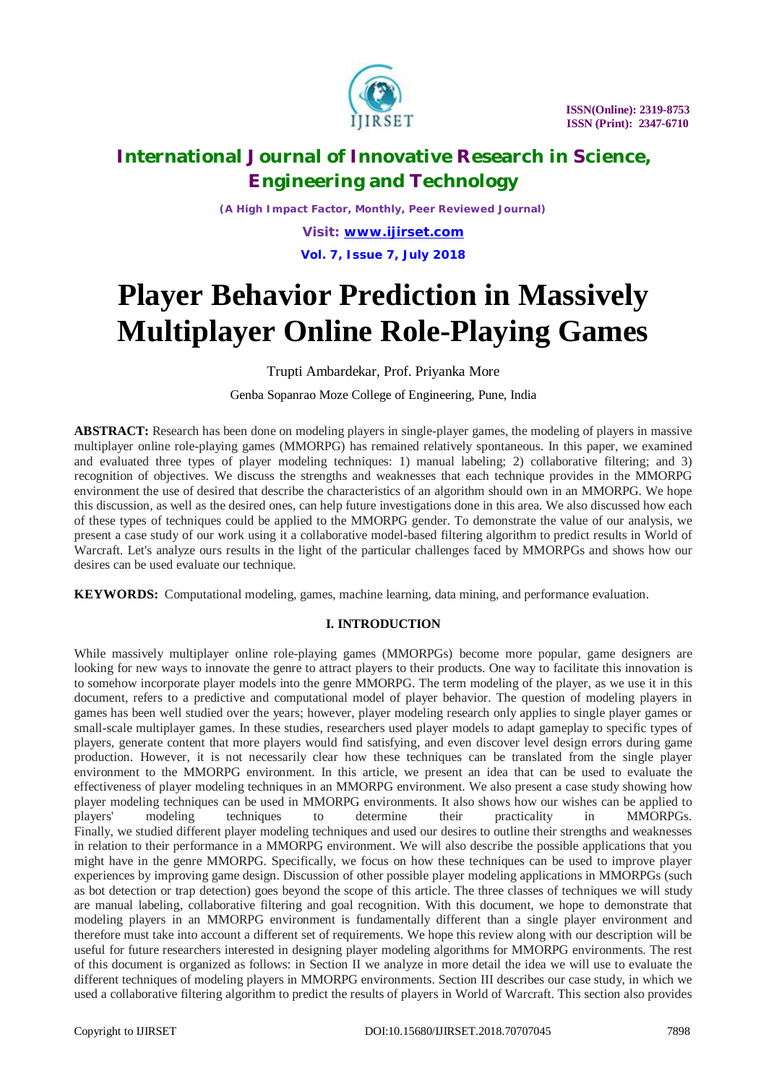

*(A High Impact Factor, Monthly, Peer Reviewed Journal)*

*Visit: [www.ijirset.com](http://www.ijirset.com)* **Vol. 7, Issue 7, July 2018**

# **Player Behavior Prediction in Massively Multiplayer Online Role-Playing Games**

Trupti Ambardekar, Prof. Priyanka More

Genba Sopanrao Moze College of Engineering, Pune, India

**ABSTRACT:** Research has been done on modeling players in single-player games, the modeling of players in massive multiplayer online role-playing games (MMORPG) has remained relatively spontaneous. In this paper, we examined and evaluated three types of player modeling techniques: 1) manual labeling; 2) collaborative filtering; and 3) recognition of objectives. We discuss the strengths and weaknesses that each technique provides in the MMORPG environment the use of desired that describe the characteristics of an algorithm should own in an MMORPG. We hope this discussion, as well as the desired ones, can help future investigations done in this area. We also discussed how each of these types of techniques could be applied to the MMORPG gender. To demonstrate the value of our analysis, we present a case study of our work using it a collaborative model-based filtering algorithm to predict results in World of Warcraft. Let's analyze ours results in the light of the particular challenges faced by MMORPGs and shows how our desires can be used evaluate our technique.

**KEYWORDS:** Computational modeling, games, machine learning, data mining, and performance evaluation.

# **I. INTRODUCTION**

While massively multiplayer online role-playing games (MMORPGs) become more popular, game designers are looking for new ways to innovate the genre to attract players to their products. One way to facilitate this innovation is to somehow incorporate player models into the genre MMORPG. The term modeling of the player, as we use it in this document, refers to a predictive and computational model of player behavior. The question of modeling players in games has been well studied over the years; however, player modeling research only applies to single player games or small-scale multiplayer games. In these studies, researchers used player models to adapt gameplay to specific types of players, generate content that more players would find satisfying, and even discover level design errors during game production. However, it is not necessarily clear how these techniques can be translated from the single player environment to the MMORPG environment. In this article, we present an idea that can be used to evaluate the effectiveness of player modeling techniques in an MMORPG environment. We also present a case study showing how player modeling techniques can be used in MMORPG environments. It also shows how our wishes can be applied to players' modeling techniques to determine their practicality in MMORPGs. Finally, we studied different player modeling techniques and used our desires to outline their strengths and weaknesses in relation to their performance in a MMORPG environment. We will also describe the possible applications that you might have in the genre MMORPG. Specifically, we focus on how these techniques can be used to improve player experiences by improving game design. Discussion of other possible player modeling applications in MMORPGs (such as bot detection or trap detection) goes beyond the scope of this article. The three classes of techniques we will study are manual labeling, collaborative filtering and goal recognition. With this document, we hope to demonstrate that modeling players in an MMORPG environment is fundamentally different than a single player environment and therefore must take into account a different set of requirements. We hope this review along with our description will be useful for future researchers interested in designing player modeling algorithms for MMORPG environments. The rest of this document is organized as follows: in Section II we analyze in more detail the idea we will use to evaluate the different techniques of modeling players in MMORPG environments. Section III describes our case study, in which we used a collaborative filtering algorithm to predict the results of players in World of Warcraft. This section also provides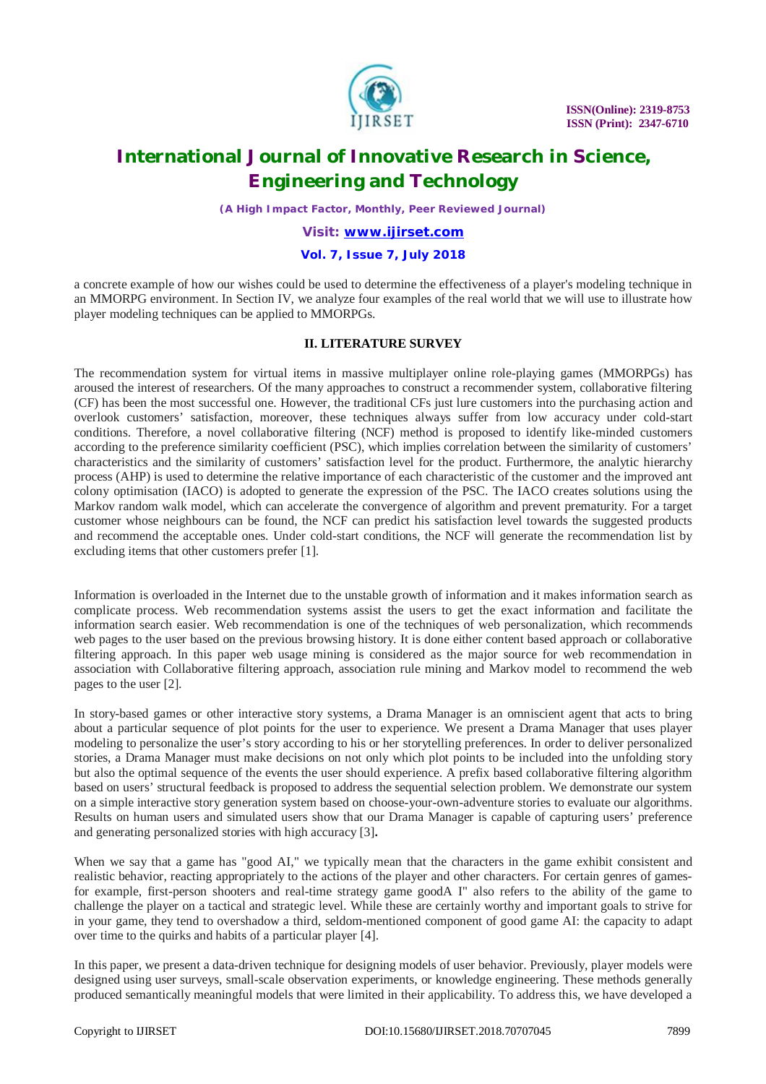

*(A High Impact Factor, Monthly, Peer Reviewed Journal)*

### *Visit: [www.ijirset.com](http://www.ijirset.com)*

#### **Vol. 7, Issue 7, July 2018**

a concrete example of how our wishes could be used to determine the effectiveness of a player's modeling technique in an MMORPG environment. In Section IV, we analyze four examples of the real world that we will use to illustrate how player modeling techniques can be applied to MMORPGs.

### **II. LITERATURE SURVEY**

The recommendation system for virtual items in massive multiplayer online role-playing games (MMORPGs) has aroused the interest of researchers. Of the many approaches to construct a recommender system, collaborative filtering (CF) has been the most successful one. However, the traditional CFs just lure customers into the purchasing action and overlook customers' satisfaction, moreover, these techniques always suffer from low accuracy under cold-start conditions. Therefore, a novel collaborative filtering (NCF) method is proposed to identify like-minded customers according to the preference similarity coefficient (PSC), which implies correlation between the similarity of customers' characteristics and the similarity of customers' satisfaction level for the product. Furthermore, the analytic hierarchy process (AHP) is used to determine the relative importance of each characteristic of the customer and the improved ant colony optimisation (IACO) is adopted to generate the expression of the PSC. The IACO creates solutions using the Markov random walk model, which can accelerate the convergence of algorithm and prevent prematurity. For a target customer whose neighbours can be found, the NCF can predict his satisfaction level towards the suggested products and recommend the acceptable ones. Under cold-start conditions, the NCF will generate the recommendation list by excluding items that other customers prefer [1].

Information is overloaded in the Internet due to the unstable growth of information and it makes information search as complicate process. Web recommendation systems assist the users to get the exact information and facilitate the information search easier. Web recommendation is one of the techniques of web personalization, which recommends web pages to the user based on the previous browsing history. It is done either content based approach or collaborative filtering approach. In this paper web usage mining is considered as the major source for web recommendation in association with Collaborative filtering approach, association rule mining and Markov model to recommend the web pages to the user [2].

In story-based games or other interactive story systems, a Drama Manager is an omniscient agent that acts to bring about a particular sequence of plot points for the user to experience. We present a Drama Manager that uses player modeling to personalize the user's story according to his or her storytelling preferences. In order to deliver personalized stories, a Drama Manager must make decisions on not only which plot points to be included into the unfolding story but also the optimal sequence of the events the user should experience. A prefix based collaborative filtering algorithm based on users' structural feedback is proposed to address the sequential selection problem. We demonstrate our system on a simple interactive story generation system based on choose-your-own-adventure stories to evaluate our algorithms. Results on human users and simulated users show that our Drama Manager is capable of capturing users' preference and generating personalized stories with high accuracy [3]**.**

When we say that a game has "good AI," we typically mean that the characters in the game exhibit consistent and realistic behavior, reacting appropriately to the actions of the player and other characters. For certain genres of gamesfor example, first-person shooters and real-time strategy game goodA I" also refers to the ability of the game to challenge the player on a tactical and strategic level. While these are certainly worthy and important goals to strive for in your game, they tend to overshadow a third, seldom-mentioned component of good game AI: the capacity to adapt over time to the quirks and habits of a particular player [4].

In this paper, we present a data-driven technique for designing models of user behavior. Previously, player models were designed using user surveys, small-scale observation experiments, or knowledge engineering. These methods generally produced semantically meaningful models that were limited in their applicability. To address this, we have developed a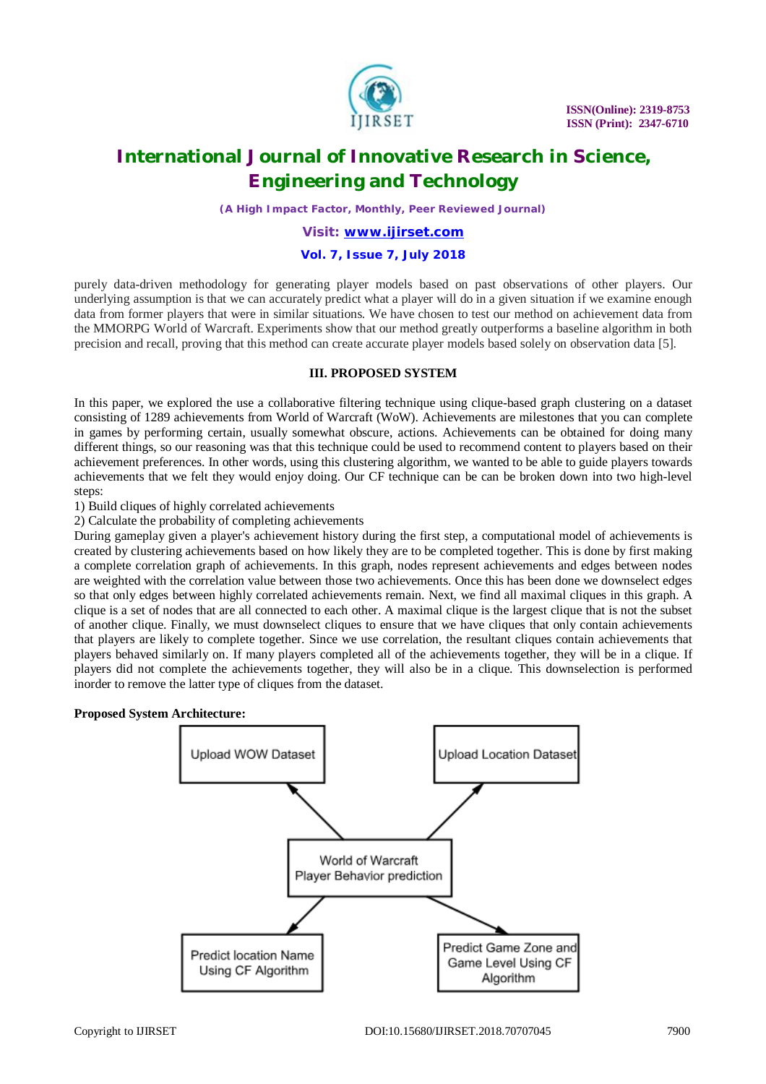

*(A High Impact Factor, Monthly, Peer Reviewed Journal)*

#### *Visit: [www.ijirset.com](http://www.ijirset.com)*

#### **Vol. 7, Issue 7, July 2018**

purely data-driven methodology for generating player models based on past observations of other players. Our underlying assumption is that we can accurately predict what a player will do in a given situation if we examine enough data from former players that were in similar situations. We have chosen to test our method on achievement data from the MMORPG World of Warcraft. Experiments show that our method greatly outperforms a baseline algorithm in both precision and recall, proving that this method can create accurate player models based solely on observation data [5].

## **III. PROPOSED SYSTEM**

In this paper, we explored the use a collaborative filtering technique using clique-based graph clustering on a dataset consisting of 1289 achievements from World of Warcraft (WoW). Achievements are milestones that you can complete in games by performing certain, usually somewhat obscure, actions. Achievements can be obtained for doing many different things, so our reasoning was that this technique could be used to recommend content to players based on their achievement preferences. In other words, using this clustering algorithm, we wanted to be able to guide players towards achievements that we felt they would enjoy doing. Our CF technique can be can be broken down into two high-level steps:

1) Build cliques of highly correlated achievements

2) Calculate the probability of completing achievements

During gameplay given a player's achievement history during the first step, a computational model of achievements is created by clustering achievements based on how likely they are to be completed together. This is done by first making a complete correlation graph of achievements. In this graph, nodes represent achievements and edges between nodes are weighted with the correlation value between those two achievements. Once this has been done we downselect edges so that only edges between highly correlated achievements remain. Next, we find all maximal cliques in this graph. A clique is a set of nodes that are all connected to each other. A maximal clique is the largest clique that is not the subset of another clique. Finally, we must downselect cliques to ensure that we have cliques that only contain achievements that players are likely to complete together. Since we use correlation, the resultant cliques contain achievements that players behaved similarly on. If many players completed all of the achievements together, they will be in a clique. If players did not complete the achievements together, they will also be in a clique. This downselection is performed inorder to remove the latter type of cliques from the dataset.

#### **Proposed System Architecture:**

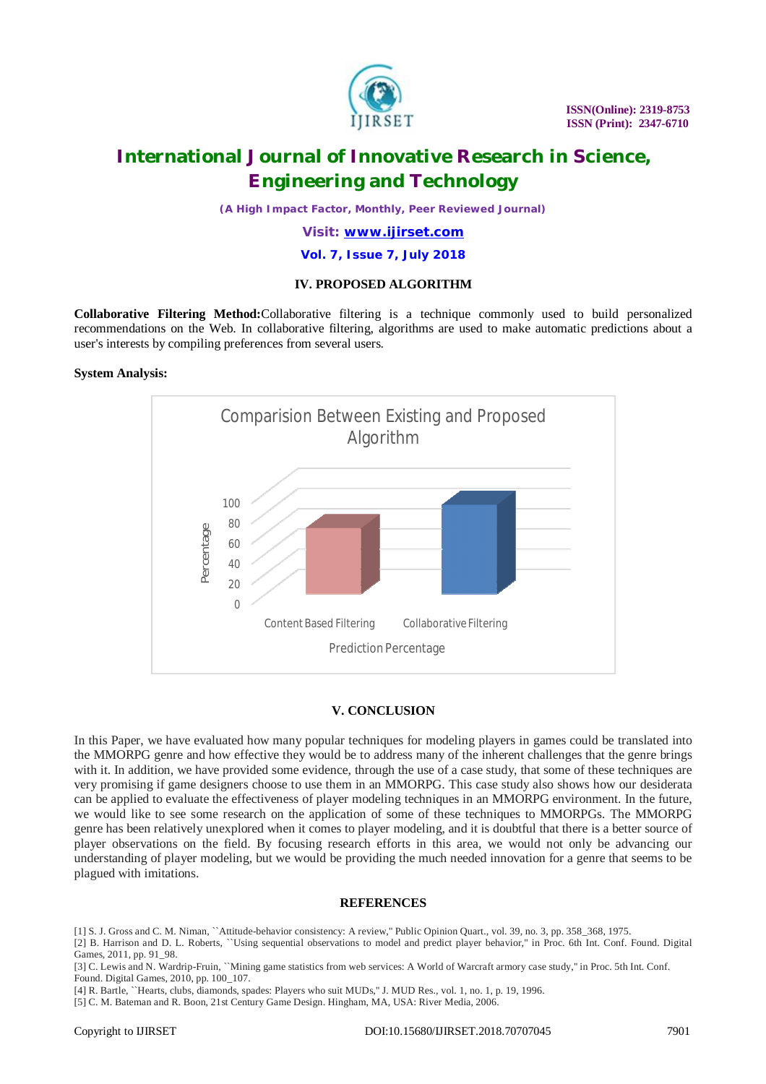

*(A High Impact Factor, Monthly, Peer Reviewed Journal)*

*Visit: [www.ijirset.com](http://www.ijirset.com)*

#### **Vol. 7, Issue 7, July 2018**

### **IV. PROPOSED ALGORITHM**

**Collaborative Filtering Method:**Collaborative filtering is a technique commonly used to build personalized recommendations on the Web. In collaborative filtering, algorithms are used to make automatic predictions about a user's interests by compiling preferences from several users.

#### **System Analysis:**



### **V. CONCLUSION**

In this Paper, we have evaluated how many popular techniques for modeling players in games could be translated into the MMORPG genre and how effective they would be to address many of the inherent challenges that the genre brings with it. In addition, we have provided some evidence, through the use of a case study, that some of these techniques are very promising if game designers choose to use them in an MMORPG. This case study also shows how our desiderata can be applied to evaluate the effectiveness of player modeling techniques in an MMORPG environment. In the future, we would like to see some research on the application of some of these techniques to MMORPGs. The MMORPG genre has been relatively unexplored when it comes to player modeling, and it is doubtful that there is a better source of player observations on the field. By focusing research efforts in this area, we would not only be advancing our understanding of player modeling, but we would be providing the much needed innovation for a genre that seems to be plagued with imitations.

#### **REFERENCES**

[1] S. J. Gross and C. M. Niman, ``Attitude-behavior consistency: A review,'' Public Opinion Quart., vol. 39, no. 3, pp. 358\_368, 1975.

[2] B. Harrison and D. L. Roberts, ``Using sequential observations to model and predict player behavior,'' in Proc. 6th Int. Conf. Found. Digital Games, 2011, pp. 91\_98.

[3] C. Lewis and N. Wardrip-Fruin, ``Mining game statistics from web services: A World of Warcraft armory case study," in Proc. 5th Int. Conf. Found. Digital Games, 2010, pp. 100\_107.

[4] R. Bartle, ``Hearts, clubs, diamonds, spades: Players who suit MUDs,'' J. MUD Res., vol. 1, no. 1, p. 19, 1996.

[5] C. M. Bateman and R. Boon, 21st Century Game Design. Hingham, MA, USA: River Media, 2006.